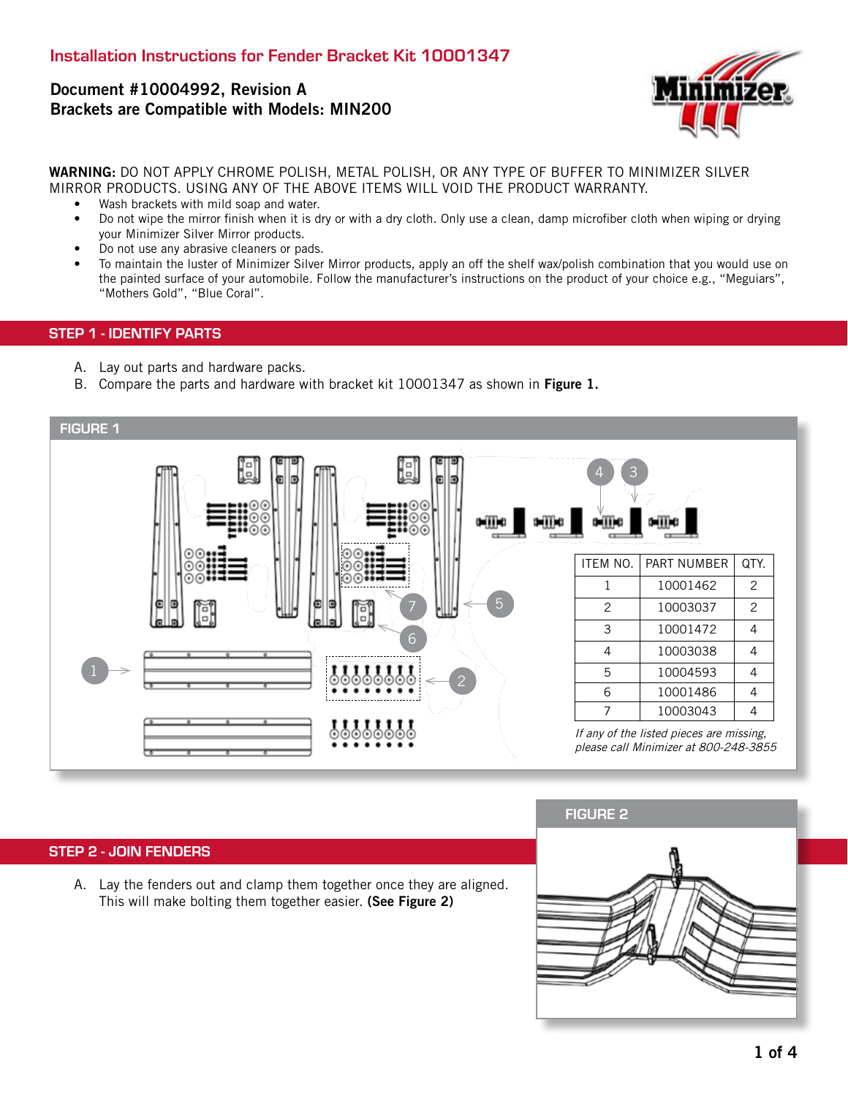# Document #10004992, Revision A Brackets are Compatible with Models: MIN200



WARNING: DO NOT APPLY CHROME POLISH, METAL POLISH, OR ANY TYPE OF BUFFER TO MINIMIZER SILVER MIRROR PRODUCTS. USING ANY OF THE ABOVE ITEMS WILL VOID THE PRODUCT WARRANTY.

- Wash brackets with mild soap and water.
- Do not wipe the mirror finish when it is dry or with a dry cloth. Only use a clean, damp microfiber cloth when wiping or drying your Minimizer Silver Mirror products.
- Do not use any abrasive cleaners or pads.
- To maintain the luster of Minimizer Silver Mirror products, apply an off the shelf wax/polish combination that you would use on the painted surface of your automobile. Follow the manufacturer's instructions on the product of your choice e.g., "Meguiars", "Mothers Gold", "Blue Coral".

#### STEP 1 - IDENTIFY PARTS

- A. Lay out parts and hardware packs.
- B. Compare the parts and hardware with bracket kit 10001347 as shown in Figure 1.



#### STEP 2 - JOIN FENDERS

A. Lay the fenders out and clamp them together once they are aligned. This will make bolting them together easier. (See Figure 2)

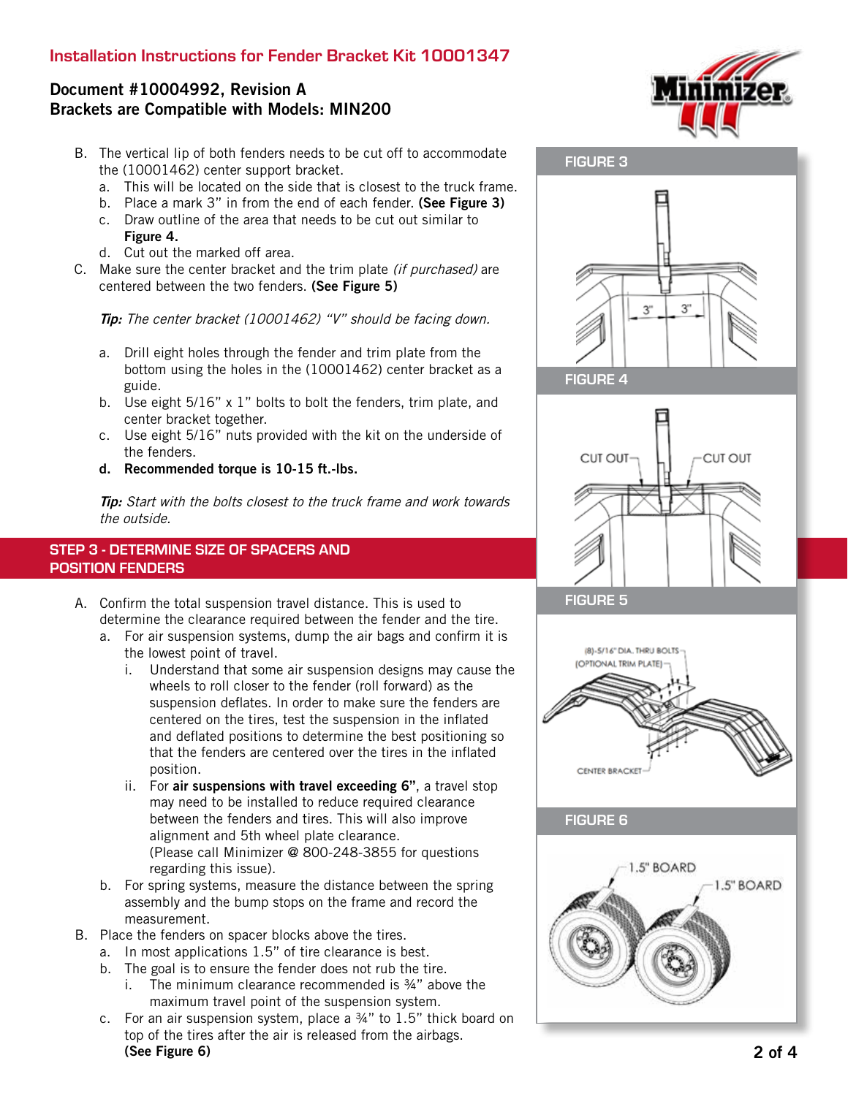## Installation Instructions for Fender Bracket Kit 10001347

# Document #10004992, Revision A Brackets are Compatible with Models: MIN200

- B. The vertical lip of both fenders needs to be cut off to accommodate the (10001462) center support bracket.
	- a. This will be located on the side that is closest to the truck frame.
	- b. Place a mark 3" in from the end of each fender. (See Figure 3)
	- c. Draw outline of the area that needs to be cut out similar to Figure 4.
	- d. Cut out the marked off area.
- C. Make sure the center bracket and the trim plate *(if purchased)* are centered between the two fenders. (See Figure 5)

Tip: The center bracket (10001462) "V" should be facing down.

- a. Drill eight holes through the fender and trim plate from the bottom using the holes in the (10001462) center bracket as a guide.
- b. Use eight 5/16" x 1" bolts to bolt the fenders, trim plate, and center bracket together.
- c. Use eight 5/16" nuts provided with the kit on the underside of the fenders.
- d. Recommended torque is 10-15 ft.-lbs.

**Tip:** Start with the bolts closest to the truck frame and work towards the outside.

### STEP 3 - DETERMINE SIZE OF SPACERS AND POSITION FENDERS

- A. Confirm the total suspension travel distance. This is used to determine the clearance required between the fender and the tire.
	- a. For air suspension systems, dump the air bags and confirm it is the lowest point of travel.
		- i. Understand that some air suspension designs may cause the wheels to roll closer to the fender (roll forward) as the suspension deflates. In order to make sure the fenders are centered on the tires, test the suspension in the inflated and deflated positions to determine the best positioning so that the fenders are centered over the tires in the inflated position.
		- ii. For air suspensions with travel exceeding 6", a travel stop may need to be installed to reduce required clearance between the fenders and tires. This will also improve alignment and 5th wheel plate clearance. (Please call Minimizer @ 800-248-3855 for questions regarding this issue).
	- b. For spring systems, measure the distance between the spring assembly and the bump stops on the frame and record the measurement.
- B. Place the fenders on spacer blocks above the tires.
	- a. In most applications 1.5" of tire clearance is best.
	- b. The goal is to ensure the fender does not rub the tire.
		- i. The minimum clearance recommended is ¾" above the maximum travel point of the suspension system.
	- c. For an air suspension system, place a  $\frac{3}{4}$ " to 1.5" thick board on top of the tires after the air is released from the airbags. (See Figure 6)





FIGURE 4



FIGURE 5



FIGURE 6

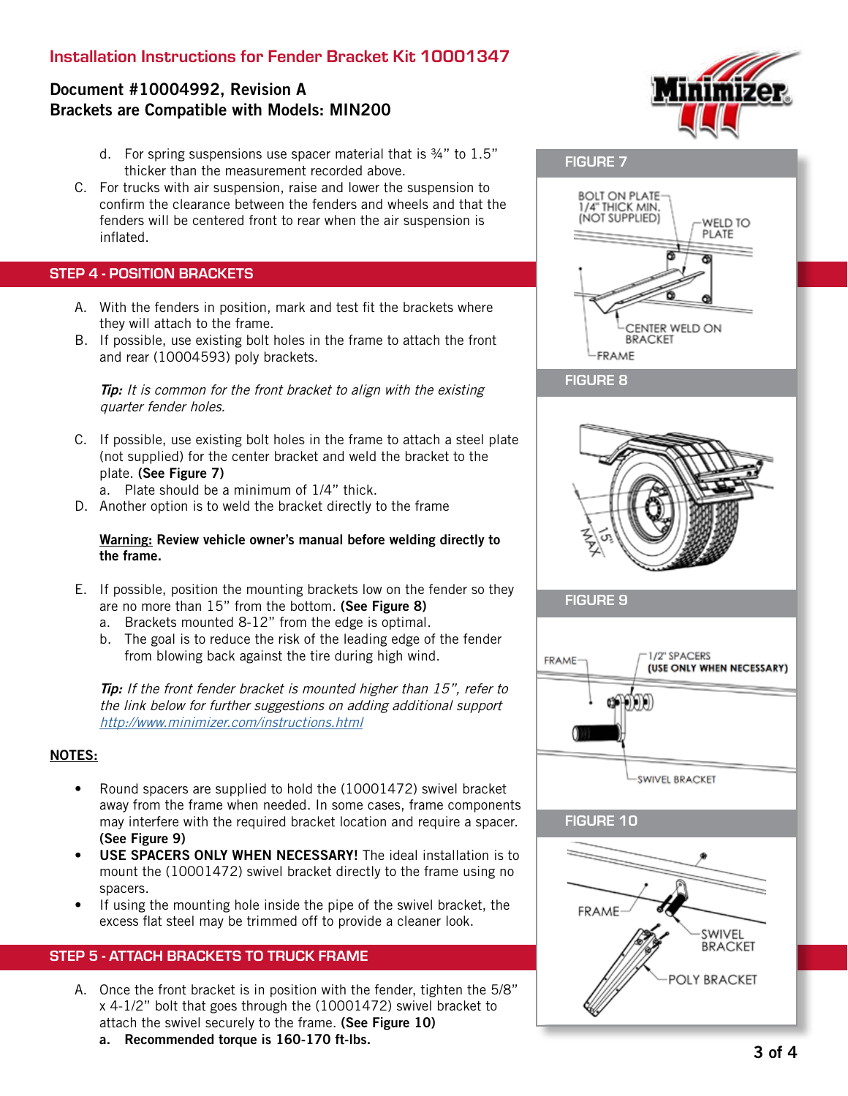## Installation Instructions for Fender Bracket Kit 10001347

## Document #10004992, Revision A Brackets are Compatible with Models: MIN200

- d. For spring suspensions use spacer material that is ¾" to 1.5" thicker than the measurement recorded above.
- C. For trucks with air suspension, raise and lower the suspension to confirm the clearance between the fenders and wheels and that the fenders will be centered front to rear when the air suspension is inflated.

### STEP 4 - POSITION BRACKETS

- A. With the fenders in position, mark and test fit the brackets where they will attach to the frame.
- B. If possible, use existing bolt holes in the frame to attach the front and rear (10004593) poly brackets.

**Tip:** It is common for the front bracket to align with the existing quarter fender holes.

- C. If possible, use existing bolt holes in the frame to attach a steel plate (not supplied) for the center bracket and weld the bracket to the plate. (See Figure 7)
	- a. Plate should be a minimum of 1/4" thick.
- D. Another option is to weld the bracket directly to the frame

#### Warning: Review vehicle owner's manual before welding directly to the frame.

- E. If possible, position the mounting brackets low on the fender so they are no more than 15" from the bottom. (See Figure 8)
	- a. Brackets mounted 8-12" from the edge is optimal.
	- b. The goal is to reduce the risk of the leading edge of the fender from blowing back against the tire during high wind.

**Tip:** If the front fender bracket is mounted higher than 15", refer to the link below for further suggestions on adding additional support http://www.minimizer.com/instructions.html

#### NOTES:

- Round spacers are supplied to hold the (10001472) swivel bracket away from the frame when needed. In some cases, frame components may interfere with the required bracket location and require a spacer. (See Figure 9)
- USE SPACERS ONLY WHEN NECESSARY! The ideal installation is to mount the (10001472) swivel bracket directly to the frame using no spacers.
- If using the mounting hole inside the pipe of the swivel bracket, the excess flat steel may be trimmed off to provide a cleaner look.

#### STEP 5 - ATTACH BRACKETS TO TRUCK FRAME

- A. Once the front bracket is in position with the fender, tighten the 5/8" x 4-1/2" bolt that goes through the (10001472) swivel bracket to attach the swivel securely to the frame. (See Figure 10)
	- a. Recommended torque is 160-170 ft-lbs.





FIGURE 8



FIGURE 9



FIGURE 10